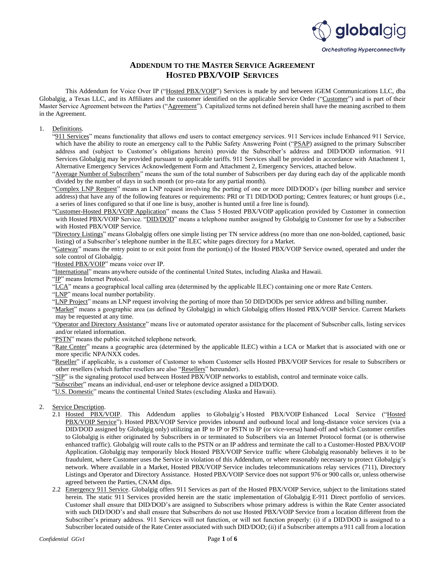

## **ADDENDUM TO THE MASTER SERVICE AGREEMENT HOSTED PBX/VOIP SERVICES**

This Addendum for Voice Over IP ("Hosted PBX/VOIP") Services is made by and between iGEM Communications LLC, dba Globalgig, a Texas LLC, and its Affiliates and the customer identified on the applicable Service Order ("Customer") and is part of their Master Service Agreement between the Parties ("Agreement"). Capitalized terms not defined herein shall have the meaning ascribed to them in the Agreement.

#### 1. Definitions.

- "911 Services" means functionality that allows end users to contact emergency services. 911 Services include Enhanced 911 Service, which have the ability to route an emergency call to the Public Safety Answering Point ("PSAP) assigned to the primary Subscriber address and (subject to Customer's obligations herein) provide the Subscriber's address and DID/DOD information. 911 Services Globalgig may be provided pursuant to applicable tariffs. 911 Services shall be provided in accordance with Attachment 1, Alternative Emergency Services Acknowledgement Form and Attachment 2, Emergency Services, attached below.
- "Average Number of Subscribers" means the sum of the total number of Subscribers per day during each day of the applicable month divided by the number of days in such month (or pro-rata for any partial month).
- "Complex LNP Request" means an LNP request involving the porting of one or more DID/DOD's (per billing number and service address) that have any of the following features or requirements: PRI or T1 DID/DOD porting; Centrex features; or hunt groups (i.e., a series of lines configured so that if one line is busy, another is hunted until a free line is found).
- "Customer-Hosted PBX/VOIP Application" means the Class 5 Hosted PBX/VOIP application provided by Customer in connection with Hosted PBX/VOIP Service. "DID/DOD" means a telephone number assigned by Globalgig to Customer for use by a Subscriber with Hosted PBX/VOIP Service.
- "Directory Listings" means Globalgig offers one simple listing per TN service address (no more than one non-bolded, captioned, basic listing) of a Subscriber's telephone number in the ILEC white pages directory for a Market.
- "Gateway" means the entry point to or exit point from the portion(s) of the Hosted PBX/VOIP Service owned, operated and under the sole control of Globalgig.
- "Hosted PBX/VOIP" means voice over IP.
- "International" means anywhere outside of the continental United States, including Alaska and Hawaii.
- "IP" means Internet Protocol.
- "LCA" means a geographical local calling area (determined by the applicable ILEC) containing one or more Rate Centers.
- "LNP" means local number portability.
- "LNP Project" means an LNP request involving the porting of more than 50 DID/DODs per service address and billing number.
- "Market" means a geographic area (as defined by Globalgig) in which Globalgig offers Hosted PBX/VOIP Service. Current Markets may be requested at any time.
- "Operator and Directory Assistance" means live or automated operator assistance for the placement of Subscriber calls, listing services and/or related information.
- "PSTN" means the public switched telephone network.
- "Rate Center" means a geographic area (determined by the applicable ILEC) within a LCA or Market that is associated with one or more specific NPA/NXX codes.
- "Reseller" if applicable, is a customer of Customer to whom Customer sells Hosted PBX/VOIP Services for resale to Subscribers or other resellers (which further resellers are also "Resellers" hereunder).
- "SIP" is the signaling protocol used between Hosted PBX/VOIP networks to establish, control and terminate voice calls.
- "Subscriber" means an individual, end-user or telephone device assigned a DID/DOD.
- "U.S. Domestic" means the continental United States (excluding Alaska and Hawaii).
- 2. Service Description.
	- 2.1 Hosted PBX/VOIP. This Addendum applies to Globalgig's Hosted PBX/VOIP Enhanced Local Service ("Hosted PBX/VOIP Service"). Hosted PBX/VOIP Service provides inbound and outbound local and long-distance voice services (via a DID/DOD assigned by Globalgig only) utilizing an IP to IP or PSTN to IP (or vice-versa) hand-off and which Customer certifies to Globalgig is either originated by Subscribers in or terminated to Subscribers via an Internet Protocol format (or is otherwise enhanced traffic). Globalgig will route calls to the PSTN or an IP address and terminate the call to a Customer-Hosted PBX/VOIP Application. Globalgig may temporarily block Hosted PBX/VOIP Service traffic where Globalgig reasonably believes it to be fraudulent, where Customer uses the Service in violation of this Addendum, or where reasonably necessary to protect Globalgig's network. Where available in a Market, Hosted PBX/VOIP Service includes telecommunications relay services (711), Directory Listings and Operator and Directory Assistance. Hosted PBX/VOIP Service does not support 976 or 900 calls or, unless otherwise agreed between the Parties, CNAM dips.
	- 2.2 Emergency 911 Service. Globalgig offers 911 Services as part of the Hosted PBX/VOIP Service, subject to the limitations stated herein. The static 911 Services provided herein are the static implementation of Globalgig E-911 Direct portfolio of services. Customer shall ensure that DID/DOD's are assigned to Subscribers whose primary address is within the Rate Center associated with such DID/DOD's and shall ensure that Subscribers do not use Hosted PBX/VOIP Service from a location different from the Subscriber's primary address. 911 Services will not function, or will not function properly: (i) if a DID/DOD is assigned to a Subscriber located outside of the Rate Center associated with such DID/DOD; (ii) if a Subscriber attempts a 911 call from a location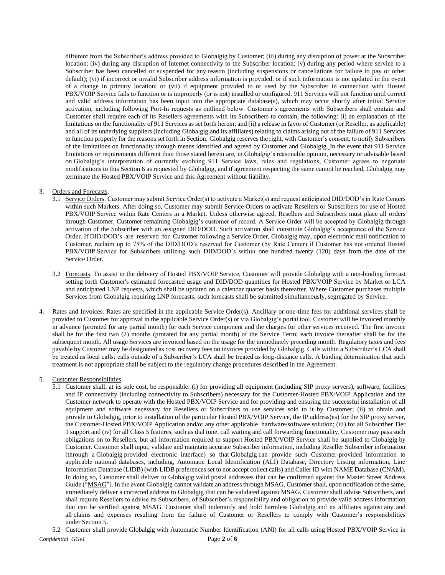different from the Subscriber's address provided to Globalgig by Customer; (iii) during any disruption of power at the Subscriber location; (iv) during any disruption of Internet connectivity to the Subscriber location; (v) during any period where service to a Subscriber has been cancelled or suspended for any reason (including suspensions or cancellations for failure to pay or other default); (vi) if incorrect or invalid Subscriber address information is provided, or if such information is not updated in the event of a change in primary location; or (vii) if equipment provided to or used by the Subscriber in connection with Hosted PBX/VOIP Service fails to function or is improperly (or is not) installed or configured. 911 Services will not function until correct and valid address information has been input into the appropriate database(s), which may occur shortly after initial Service activation, including following Port-In requests as outlined below. Customer's agreements with Subscribers shall contain and Customer shall require each of its Resellers agreements with its Subscribers to contain, the following: (i) an explanation of the limitations on the functionality of 911 Services as set forth herein; and (ii) a release in favor of Customer (or Reseller, as applicable) and all of its underlying suppliers (including Globalgig and its affiliates) relating to claims arising out of the failure of 911 Services to function properly for the reasons set forth in Section. Globalgig reserves the right, with Customer's consent, to notify Subscribers of the limitations on functionality through means identified and agreed by Customer and Globalgig. In the event that 911 Service limitations or requirements different than those stated herein are, in Globalgig's reasonable opinion, necessary or advisable based on Globalgig's interpretation of currently evolving 911 Service laws, rules and regulations, Customer agrees to negotiate modifications to this Section 6 as requested by Globalgig, and if agreement respecting the same cannot be reached, Globalgig may terminate the Hosted PBX/VOIP Service and this Agreement without liability.

### 3. Orders and Forecasts.

- 3.1 Service Orders. Customer may submit Service Order(s) to activate a Market(s) and request anticipated DID/DOD's in Rate Centers within such Markets. After doing so, Customer may submit Service Orders to activate Resellers or Subscribers for use of Hosted PBX/VOIP Service within Rate Centers in a Market. Unless otherwise agreed, Resellers and Subscribers must place all orders through Customer, Customer remaining Globalgig's customer of record. A Service Order will be accepted by Globalgig through activation of the Subscriber with an assigned DID/DOD. Such activation shall constitute Globalgig's acceptance of the Service Order. If DID/DOD's are reserved for Customer following a Service Order, Globalgig may, upon electronic mail notification to Customer, reclaim up to 75% of the DID/DOD's reserved for Customer (by Rate Center) if Customer has not ordered Hosted PBX/VOIP Service for Subscribers utilizing such DID/DOD's within one hundred twenty (120) days from the date of the Service Order.
- 3.2 Forecasts. To assist in the delivery of Hosted PBX/VOIP Service, Customer will provide Globalgig with a non-binding forecast setting forth Customer's estimated forecasted usage and DID/DOD quantities for Hosted PBX/VOIP Service by Market or LCA and anticipated LNP requests, which shall be updated on a calendar quarter basis thereafter. Where Customer purchases multiple Services from Globalgig requiring LNP forecasts, such forecasts shall be submitted simultaneously, segregated by Service.
- 4. Rates and Invoices. Rates are specified in the applicable Service Order(s). Ancillary or one-time fees for additional services shall be provided to Customer for approval in the applicable Service Order(s) or via Globalgig's portal tool. Customer will be invoiced monthly in advance (prorated for any partial month) for each Service component and the charges for other services received. The first invoice shall be for the first two (2) months (prorated for any partial month) of the Service Term; each invoice thereafter shall be for the subsequent month. All usage Services are invoiced based on the usage for the immediately preceding month. Regulatory taxes and fees payable by Customer may be designated as cost recovery fees on invoices provided by Globalgig. Calls within a Subscriber's LCA shall be treated as local calls; calls outside of a Subscriber's LCA shall be treated as long-distance calls. A binding determination that such treatment is not appropriate shall be subject to the regulatory change procedures described in the Agreement.

#### 5. Customer Responsibilities.

5.1 Customer shall, at its sole cost, be responsible: (i) for providing all equipment (including SIP proxy servers), software, facilities and IP connectivity (including connectivity to Subscribers) necessary for the Customer-Hosted PBX/VOIP Application and the Customer network to operate with the Hosted PBX/VOIP Service and for providing and ensuring the successful installation of all equipment and software necessary for Resellers or Subscribers to use services sold to it by Customer; (ii) to obtain and provide to Globalgig, prior to installation of the particular Hosted PBX/VOIP Service, the IP address(es) for the SIP proxy server, the Customer-Hosted PBX/VOIP Application and/or any other applicable hardware/software solution; (iii) for all Subscriber Tier 1 support and (iv) for all Class 5 features, such as dial tone, call waiting and call forwarding functionality. Customer may pass such obligations on to Resellers, but all information required to support Hosted PBX/VOIP Service shall be supplied to Globalgig by Customer. Customer shall input, validate and maintain accurate Subscriber information, including Reseller Subscriber information (through a Globalgig provided electronic interface) so that Globalgig can provide such Customer-provided information to applicable national databases, including, Automatic Local Identification (ALI) Database, Directory Listing information, Line Information Database (LIDB) (with LIDB preferences set to not accept collect calls) and Caller ID with NAME Database (CNAM). In doing so, Customer shall deliver to Globalgig valid postal addresses that can be confirmed against the Master Street Address Guide ("MSAG"). In the event Globalgig cannot validate an address through MSAG, Customer shall, upon notification of the same, immediately deliver a corrected address to Globalgig that can be validated against MSAG. Customer shall advise Subscribers, and shall require Resellers to advise its Subscribers, of Subscriber's responsibility and obligation to provide valid address information that can be verified against MSAG. Customer shall indemnify and hold harmless Globalgig and its affiliates against any and all claims and expenses resulting from the failure of Customer or Resellers to comply with Customer's responsibilities under Section 5.

*Confidential GGv1* Page **2** of **6** 5.2 Customer shall provide Globalgig with Automatic Number Identification (ANI) for all calls using Hosted PBX/VOIP Service in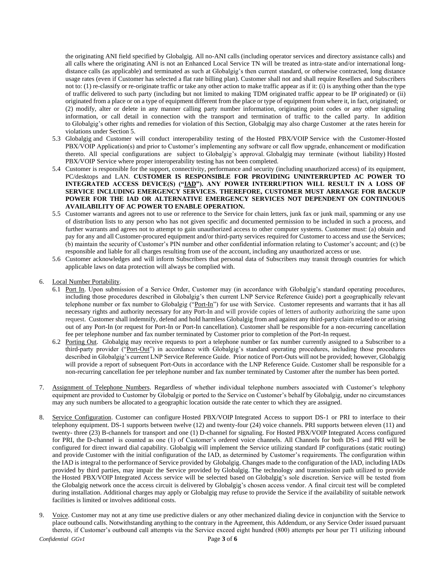the originating ANI field specified by Globalgig. All no-ANI calls (including operator services and directory assistance calls) and all calls where the originating ANI is not an Enhanced Local Service TN will be treated as intra-state and/or international longdistance calls (as applicable) and terminated as such at Globalgig's then current standard, or otherwise contracted, long distance usage rates (even if Customer has selected a flat rate billing plan). Customer shall not and shall require Resellers and Subscribers not to: (1) re-classify or re-originate traffic or take any other action to make traffic appear as if it: (i) is anything other than the type of traffic delivered to such party (including but not limited to making TDM originated traffic appear to be IP originated) or (ii) originated from a place or on a type of equipment different from the place or type of equipment from where it, in fact, originated; or (2) modify, alter or delete in any manner calling party number information, originating point codes or any other signaling information, or call detail in connection with the transport and termination of traffic to the called party. In addition to Globalgig's other rights and remedies for violation of this Section, Globalgig may also charge Customer at the rates herein for violations under Section 5.

- 5.3 Globalgig and Customer will conduct interoperability testing of the Hosted PBX/VOIP Service with the Customer-Hosted PBX/VOIP Application(s) and prior to Customer's implementing any software or call flow upgrade, enhancement or modification thereto. All special configurations are subject to Globalgig's approval. Globalgig may terminate (without liability) Hosted PBX/VOIP Service where proper interoperability testing has not been completed.
- 5.4 Customer is responsible for the support, connectivity, performance and security (including unauthorized access) of its equipment, PC/desktops and LAN. **CUSTOMER IS RESPONSIBLE FOR PROVIDING UNINTERRUPTED AC POWER TO INTEGRATED ACCESS DEVICE(S) ("IAD"). ANY POWER INTERRUPTION WILL RESULT IN A LOSS OF SERVICE INCLUDING EMERGENCY SERVICES. THEREFORE, CUSTOMER MUST ARRANGE FOR BACKUP POWER FOR THE IAD OR ALTERNATIVE EMERGENCY SERVICES NOT DEPENDENT ON CONTINUOUS AVAILABILITY OF AC POWER TO ENABLE OPERATION.**
- 5.5 Customer warrants and agrees not to use or reference to the Service for chain letters, junk fax or junk mail, spamming or any use of distribution lists to any person who has not given specific and documented permission to be included in such a process, and further warrants and agrees not to attempt to gain unauthorized access to other computer systems. Customer must: (a) obtain and pay for any and all Customer-procured equipment and/or third-party services required for Customer to access and use the Services; (b) maintain the security of Customer's PIN number and other confidential information relating to Customer's account; and (c) be responsible and liable for all charges resulting from use of the account, including any unauthorized access or use.
- 5.6 Customer acknowledges and will inform Subscribers that personal data of Subscribers may transit through countries for which applicable laws on data protection will always be complied with.
- 6. Local Number Portability.
	- 6.1 Port In. Upon submission of a Service Order, Customer may (in accordance with Globalgig's standard operating procedures, including those procedures described in Globalgig's then current LNP Service Reference Guide) port a geographically relevant telephone number or fax number to Globalgig ("Port-In") for use with Service. Customer represents and warrants that it has all necessary rights and authority necessary for any Port-In and will provide copies of letters of authority authorizing the same upon request. Customer shall indemnify, defend and hold harmless Globalgig from and against any third-party claim related to or arising out of any Port-In (or request for Port-In or Port-In cancellation). Customer shall be responsible for a non-recurring cancellation fee per telephone number and fax number terminated by Customer prior to completion of the Port-In request.
	- 6.2 Porting Out. Globalgig may receive requests to port a telephone number or fax number currently assigned to a Subscriber to a third-party provider ("Port-Out") in accordance with Globalgig's standard operating procedures, including those procedures described in Globalgig's current LNP Service Reference Guide. Prior notice of Port-Outs will not be provided; however, Globalgig will provide a report of subsequent Port-Outs in accordance with the LNP Reference Guide. Customer shall be responsible for a non-recurring cancellation fee per telephone number and fax number terminated by Customer after the number has been ported.
- 7. Assignment of Telephone Numbers. Regardless of whether individual telephone numbers associated with Customer's telephony equipment are provided to Customer by Globalgig or ported to the Service on Customer's behalf by Globalgig, under no circumstances may any such numbers be allocated to a geographic location outside the rate center to which they are assigned.
- 8. Service Configuration. Customer can configure Hosted PBX/VOIP Integrated Access to support DS-1 or PRI to interface to their telephony equipment. DS-1 supports between twelve (12) and twenty-four (24) voice channels. PRI supports between eleven (11) and twenty- three (23) B-channels for transport and one (1) D-channel for signaling. For Hosted PBX/VOIP Integrated Access configured for PRI, the D-channel is counted as one (1) of Customer's ordered voice channels. All Channels for both DS-1 and PRI will be configured for direct inward dial capability. Globalgig will implement the Service utilizing standard IP configurations (static routing) and provide Customer with the initial configuration of the IAD, as determined by Customer's requirements. The configuration within the IAD is integral to the performance of Service provided by Globalgig. Changes made to the configuration of the IAD, including IADs provided by third parties, may impair the Service provided by Globalgig. The technology and transmission path utilized to provide the Hosted PBX/VOIP Integrated Access service will be selected based on Globalgig's sole discretion. Service will be tested from the Globalgig network once the access circuit is delivered by Globalgig's chosen access vendor. A final circuit test will be completed during installation. Additional charges may apply or Globalgig may refuse to provide the Service if the availability of suitable network facilities is limited or involves additional costs.
- 9. Voice. Customer may not at any time use predictive dialers or any other mechanized dialing device in conjunction with the Service to place outbound calls. Notwithstanding anything to the contrary in the Agreement, this Addendum, or any Service Order issued pursuant thereto, if Customer's outbound call attempts via the Service exceed eight hundred (800) attempts per hour per T1 utilizing inbound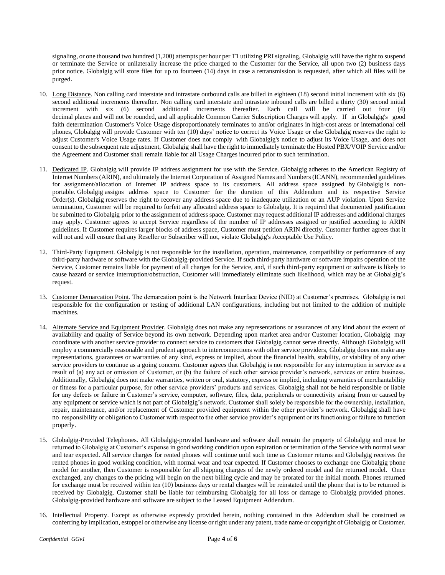signaling, or one thousand two hundred (1,200) attempts per hour per T1 utilizing PRI signaling, Globalgig will have the right to suspend or terminate the Service or unilaterally increase the price charged to the Customer for the Service, all upon two (2) business days prior notice. Globalgig will store files for up to fourteen (14) days in case a retransmission is requested, after which all files will be purged.

- 10. Long Distance. Non calling card interstate and intrastate outbound calls are billed in eighteen (18) second initial increment with six (6) second additional increments thereafter. Non calling card interstate and intrastate inbound calls are billed a thirty (30) second initial increment with six (6) second additional increments thereafter. Each call will be carried out four (4) decimal places and will not be rounded, and all applicable Common Carrier Subscription Charges will apply. If in Globalgig's good faith determination Customer's Voice Usage disproportionately terminates to and/or originates in high-cost areas or international cell phones, Globalgig will provide Customer with ten (10) days' notice to correct its Voice Usage or else Globalgig reserves the right to adjust Customer's Voice Usage rates. If Customer does not comply with Globalgig's notice to adjust its Voice Usage, and does not consent to the subsequent rate adjustment, Globalgig shall have the right to immediately terminate the Hosted PBX/VOIP Service and/or the Agreement and Customer shall remain liable for all Usage Charges incurred prior to such termination.
- 11. Dedicated IP. Globalgig will provide IP address assignment for use with the Service. Globalgig adheres to the American Registry of Internet Numbers (ARIN), and ultimately the Internet Corporation of Assigned Names and Numbers (ICANN), recommended guidelines for assignment/allocation of Internet IP address space to its customers. All address space assigned by Globalgig is nonportable. Globalgig assigns address space to Customer for the duration of this Addendum and its respective Service Order(s). Globalgig reserves the right to recover any address space due to inadequate utilization or an AUP violation. Upon Service termination, Customer will be required to forfeit any allocated address space to Globalgig. It is required that documented justification be submitted to Globalgig prior to the assignment of address space. Customer may request additional IP addresses and additional charges may apply. Customer agrees to accept Service regardless of the number of IP addresses assigned or justified according to ARIN guidelines. If Customer requires larger blocks of address space, Customer must petition ARIN directly. Customer further agrees that it will not and will ensure that any Reseller or Subscriber will not, violate Globalgig's Acceptable Use Policy.
- 12. Third-Party Equipment. Globalgig is not responsible for the installation, operation, maintenance, compatibility or performance of any third-party hardware or software with the Globalgig-provided Service. If such third-party hardware or software impairs operation of the Service, Customer remains liable for payment of all charges for the Service, and, if such third-party equipment or software is likely to cause hazard or service interruption/obstruction, Customer will immediately eliminate such likelihood, which may be at Globalgig's request.
- 13. Customer Demarcation Point. The demarcation point is the Network Interface Device (NID) at Customer's premises. Globalgig is not responsible for the configuration or testing of additional LAN configurations, including but not limited to the addition of multiple machines.
- 14. Alternate Service and Equipment Provider. Globalgig does not make any representations or assurances of any kind about the extent of availability and quality of Service beyond its own network. Depending upon market area and/or Customer location, Globalgig may coordinate with another service provider to connect service to customers that Globalgig cannot serve directly. Although Globalgig will employ a commercially reasonable and prudent approach to interconnections with other service providers, Globalgig does not make any representations, guarantees or warranties of any kind, express or implied, about the financial health, stability, or viability of any other service providers to continue as a going concern. Customer agrees that Globalgig is not responsible for any interruption in service as a result of (a) any act or omission of Customer, or (b) the failure of such other service provider's network, services or entire business. Additionally, Globalgig does not make warranties, written or oral, statutory, express or implied, including warranties of merchantability or fitness for a particular purpose, for other service providers' products and services. Globalgig shall not be held responsible or liable for any defects or failure in Customer's service, computer, software, files, data, peripherals or connectivity arising from or caused by any equipment or service which is not part of Globalgig's network. Customer shall solely be responsible for the ownership, installation, repair, maintenance, and/or replacement of Customer provided equipment within the other provider's network. Globalgig shall have no responsibility or obligation to Customer with respect to the other service provider's equipment or its functioning or failure to function properly.
- 15. Globalgig-Provided Telephones. All Globalgig-provided hardware and software shall remain the property of Globalgig and must be returned to Globalgig at Customer's expense in good working condition upon expiration or termination of the Service with normal wear and tear expected. All service charges for rented phones will continue until such time as Customer returns and Globalgig receives the rented phones in good working condition, with normal wear and tear expected. If Customer chooses to exchange one Globalgig phone model for another, then Customer is responsible for all shipping charges of the newly ordered model and the returned model. Once exchanged, any changes to the pricing will begin on the next billing cycle and may be prorated for the initial month. Phones returned for exchange must be received within ten (10) business days or rental charges will be reinstated until the phone that is to be returned is received by Globalgig. Customer shall be liable for reimbursing Globalgig for all loss or damage to Globalgig provided phones. Globalgig-provided hardware and software are subject to the Leased Equipment Addendum.
- 16. Intellectual Property. Except as otherwise expressly provided herein, nothing contained in this Addendum shall be construed as conferring by implication, estoppel or otherwise any license or right under any patent, trade name or copyright of Globalgig or Customer.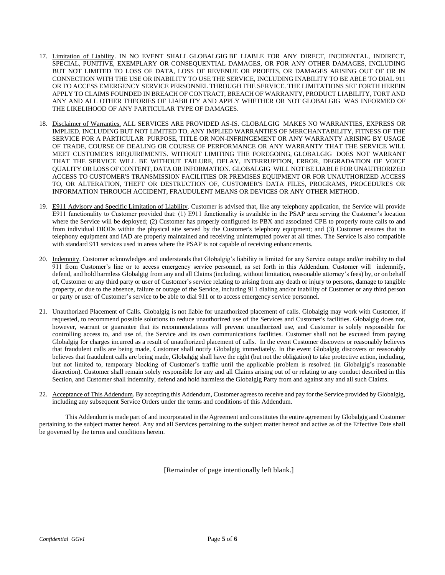- 17. Limitation of Liability. IN NO EVENT SHALL GLOBALGIG BE LIABLE FOR ANY DIRECT, INCIDENTAL, INDIRECT, SPECIAL, PUNITIVE, EXEMPLARY OR CONSEQUENTIAL DAMAGES, OR FOR ANY OTHER DAMAGES, INCLUDING BUT NOT LIMITED TO LOSS OF DATA, LOSS OF REVENUE OR PROFITS, OR DAMAGES ARISING OUT OF OR IN CONNECTION WITH THE USE OR INABILITY TO USE THE SERVICE, INCLUDING INABILITY TO BE ABLE TO DIAL 911 OR TO ACCESS EMERGENCY SERVICE PERSONNEL THROUGH THE SERVICE. THE LIMITATIONS SET FORTH HEREIN APPLY TO CLAIMS FOUNDED IN BREACH OF CONTRACT, BREACH OF WARRANTY, PRODUCT LIABILITY, TORT AND ANY AND ALL OTHER THEORIES OF LIABILITY AND APPLY WHETHER OR NOT GLOBALGIG WAS INFORMED OF THE LIKELIHOOD OF ANY PARTICULAR TYPE OF DAMAGES.
- 18. Disclaimer of Warranties. ALL SERVICES ARE PROVIDED AS-IS. GLOBALGIG MAKES NO WARRANTIES, EXPRESS OR IMPLIED, INCLUDING BUT NOT LIMITED TO, ANY IMPLIED WARRANTIES OF MERCHANTABILITY, FITNESS OF THE SERVICE FOR A PARTICULAR PURPOSE, TITLE OR NON-INFRINGEMENT OR ANY WARRANTY ARISING BY USAGE OF TRADE, COURSE OF DEALING OR COURSE OF PERFORMANCE OR ANY WARRANTY THAT THE SERVICE WILL MEET CUSTOMER'S REQUIREMENTS. WITHOUT LIMITING THE FOREGOING, GLOBALGIG DOES NOT WARRANT THAT THE SERVICE WILL BE WITHOUT FAILURE, DELAY, INTERRUPTION, ERROR, DEGRADATION OF VOICE QUALITY OR LOSS OF CONTENT, DATA OR INFORMATION. GLOBALGIG WILL NOT BE LIABLE FOR UNAUTHORIZED ACCESS TO CUSTOMER'S TRANSMISSION FACILITIES OR PREMISES EQUIPMENT OR FOR UNAUTHORIZED ACCESS TO, OR ALTERATION, THEFT OR DESTRUCTION OF, CUSTOMER'S DATA FILES, PROGRAMS, PROCEDURES OR INFORMATION THROUGH ACCIDENT, FRAUDULENT MEANS OR DEVICES OR ANY OTHER METHOD.
- 19. E911 Advisory and Specific Limitation of Liability. Customer is advised that, like any telephony application, the Service will provide E911 functionality to Customer provided that: (1) E911 functionality is available in the PSAP area serving the Customer's location where the Service will be deployed; (2) Customer has properly configured its PBX and associated CPE to properly route calls to and from individual DIODs within the physical site served by the Customer's telephony equipment; and (3) Customer ensures that its telephony equipment and IAD are properly maintained and receiving uninterrupted power at all times. The Service is also compatible with standard 911 services used in areas where the PSAP is not capable of receiving enhancements.
- 20. Indemnity. Customer acknowledges and understands that Globalgig's liability is limited for any Service outage and/or inability to dial 911 from Customer's line or to access emergency service personnel, as set forth in this Addendum. Customer will indemnify, defend, and hold harmless Globalgig from any and all Claims (including, without limitation, reasonable attorney's fees) by, or on behalf of, Customer or any third party or user of Customer's service relating to arising from any death or injury to persons, damage to tangible property, or due to the absence, failure or outage of the Service, including 911 dialing and/or inability of Customer or any third person or party or user of Customer's service to be able to dial 911 or to access emergency service personnel.
- 21. Unauthorized Placement of Calls. Globalgig is not liable for unauthorized placement of calls. Globalgig may work with Customer, if requested, to recommend possible solutions to reduce unauthorized use of the Services and Customer's facilities. Globalgig does not, however, warrant or guarantee that its recommendations will prevent unauthorized use, and Customer is solely responsible for controlling access to, and use of, the Service and its own communications facilities. Customer shall not be excused from paying Globalgig for charges incurred as a result of unauthorized placement of calls. In the event Customer discovers or reasonably believes that fraudulent calls are being made, Customer shall notify Globalgig immediately. In the event Globalgig discovers or reasonably believes that fraudulent calls are being made, Globalgig shall have the right (but not the obligation) to take protective action, including, but not limited to, temporary blocking of Customer's traffic until the applicable problem is resolved (in Globalgig's reasonable discretion). Customer shall remain solely responsible for any and all Claims arising out of or relating to any conduct described in this Section, and Customer shall indemnify, defend and hold harmless the Globalgig Party from and against any and all such Claims.
- 22. Acceptance of This Addendum. By accepting this Addendum, Customer agrees to receive and pay for the Service provided by Globalgig, including any subsequent Service Orders under the terms and conditions of this Addendum.

This Addendum is made part of and incorporated in the Agreement and constitutes the entire agreement by Globalgig and Customer pertaining to the subject matter hereof. Any and all Services pertaining to the subject matter hereof and active as of the Effective Date shall be governed by the terms and conditions herein.

[Remainder of page intentionally left blank.]